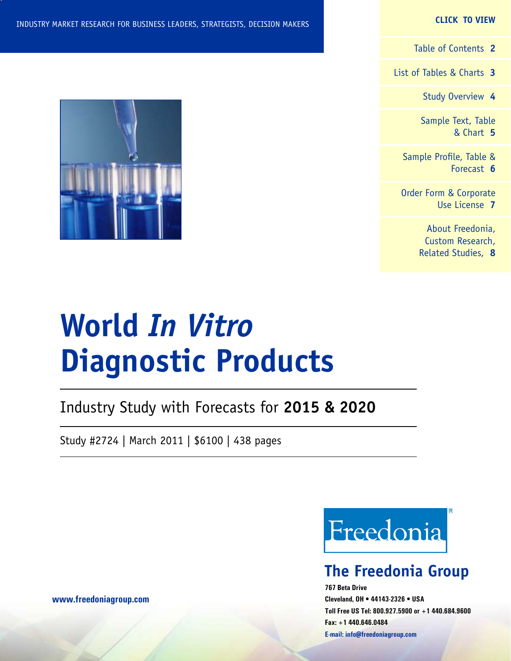#### **CLICK TO VIEW**

[Table of Contents](#page-1-0) **2**

[List of Tables & Charts](#page-2-0) **3**

[Study Overview](#page-3-0) **4**

[Sample Text, Table](#page-4-0) [& Chart](#page-4-0) **5**

[Sample Profile, Table &](#page-5-0) [Forecast](#page-5-0) **6**

[Order Form & Corporate](#page-6-0) [Use License](#page-6-0) **7**

> [About Freedonia,](#page-7-0) [Custom Research,](#page-7-0) [Related Studies,](#page-7-0) **8**

# **World** *In Vitro* **Diagnostic Products**

Industry Study with Forecasts for **2015 & 2020**

Study #2724 | March 2011 | \$6100 | 438 pages

Freedonia

# **The Freedonia Group**

**767 Beta Drive Cleveland, OH • 44143-2326 • USA Toll Free US Tel: 800.927.5900 or +1 440.684.9600 Fax: +1 440.646.0484 E-mail: [info@freedoniagroup.com](mailto:info@freedoniagroup.com)**



### **[www.freedoniagroup.com](http://www.freedoniagroup.com/Home.aspx?ReferrerId=FM-Bro)**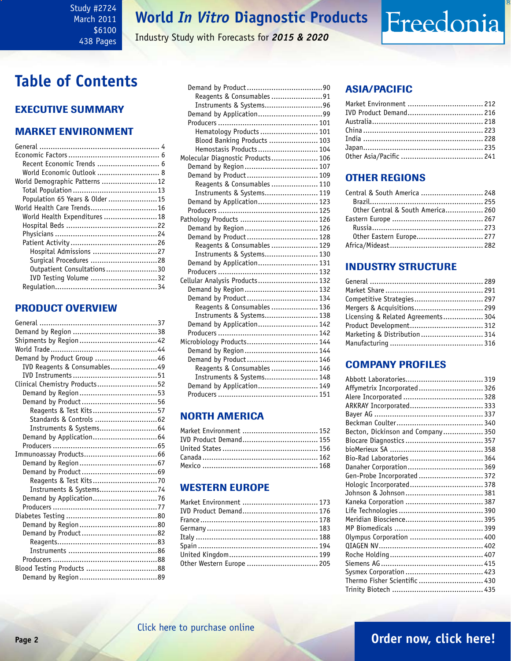### <span id="page-1-0"></span>Study #2724 March 2011 \$6100 438 Pages

# **World** *In Vitro* **Diagnostic Products**

Industry Study with Forecasts for *2015 & 2020*

# **Table of Contents**

# Executive Summary

### Market EnvironmenT

| Recent Economic Trends  6      |  |
|--------------------------------|--|
| World Economic Outlook  8      |  |
| World Demographic Patterns  12 |  |
|                                |  |
| Population 65 Years & Older 15 |  |
| World Health Care Trends 16    |  |
| World Health Expenditures 18   |  |
|                                |  |
|                                |  |
|                                |  |
| Hospital Admissions 27         |  |
| Surgical Procedures 28         |  |
| Outpatient Consultations30     |  |
| IVD Testing Volume 32          |  |
|                                |  |

### PRODUCT OVERVIEW

| Demand by Product Group 46    |  |
|-------------------------------|--|
| IVD Reagents & Consumables49  |  |
|                               |  |
| Clinical Chemistry Products52 |  |
|                               |  |
|                               |  |
| Reagents & Test Kits57        |  |
|                               |  |
| Instruments & Systems 64      |  |
|                               |  |
|                               |  |
|                               |  |
|                               |  |
|                               |  |
|                               |  |
| Instruments & Systems74       |  |
|                               |  |
|                               |  |
|                               |  |
|                               |  |
|                               |  |
|                               |  |
|                               |  |
|                               |  |
|                               |  |
|                               |  |

| Reagents & Consumables 91         |  |
|-----------------------------------|--|
| Instruments & Systems96           |  |
| Demand by Application99           |  |
|                                   |  |
| Hematology Products  101          |  |
| Blood Banking Products  103       |  |
| Hemostasis Products 104           |  |
| Molecular Diagnostic Products 106 |  |
| Demand by Region 107              |  |
| Demand by Product 109             |  |
| Reagents & Consumables  110       |  |
| Instruments & Systems 119         |  |
| Demand by Application 123         |  |
|                                   |  |
|                                   |  |
| Demand by Region 126              |  |
| Demand by Product 128             |  |
| Reagents & Consumables  129       |  |
| Instruments & Systems 130         |  |
| Demand by Application 131         |  |
|                                   |  |
| Cellular Analysis Products 132    |  |
| Demand by Region  132             |  |
| Demand by Product 134             |  |
| Reagents & Consumables  136       |  |
| Instruments & Systems 138         |  |
| Demand by Application 142         |  |
|                                   |  |
| Microbiology Products 144         |  |
| Demand by Region  144             |  |
| Demand by Product 146             |  |
| Reagents & Consumables  146       |  |
| Instruments & Systems 148         |  |
| Demand by Application 149         |  |
|                                   |  |
|                                   |  |

## NORTH AMERICA

| Market Environment  152 |  |
|-------------------------|--|
| IVD Product Demand 155  |  |
|                         |  |
|                         |  |
|                         |  |

## WESTERN EUROPE

| IVD Product Demand 176    |  |
|---------------------------|--|
|                           |  |
|                           |  |
|                           |  |
|                           |  |
|                           |  |
|                           |  |
| Other Western Europe  205 |  |

# ASIA/PACIFIC

| Market Environment  212 |  |
|-------------------------|--|
| IVD Product Demand 216  |  |
|                         |  |
|                         |  |
|                         |  |
|                         |  |
|                         |  |
|                         |  |

Freedonia

# OTHER REGIONS

| Central & South America  248      |  |
|-----------------------------------|--|
|                                   |  |
| Other Central & South America 260 |  |
|                                   |  |
|                                   |  |
| Other Eastern Europe 277          |  |
|                                   |  |

## INDUSTRY STRUCTURE

| Competitive Strategies 297         |  |
|------------------------------------|--|
| Mergers & Acquisitions 299         |  |
| Licensing & Related Agreements 304 |  |
|                                    |  |
| Marketing & Distribution  314      |  |
|                                    |  |
|                                    |  |

# Company Profiles

| Affymetrix Incorporated 326       |  |
|-----------------------------------|--|
|                                   |  |
| ARKRAY Incorporated 333           |  |
|                                   |  |
|                                   |  |
| Becton, Dickinson and Company 350 |  |
|                                   |  |
|                                   |  |
| Bio-Rad Laboratories  364         |  |
|                                   |  |
| Gen-Probe Incorporated  372       |  |
| Hologic Incorporated 378          |  |
|                                   |  |
|                                   |  |
|                                   |  |
|                                   |  |
|                                   |  |
| Olympus Corporation  400          |  |
|                                   |  |
|                                   |  |
|                                   |  |
|                                   |  |
| Thermo Fisher Scientific  430     |  |
|                                   |  |
|                                   |  |

# **Page 2 [Order now, click here!](#page-6-0)**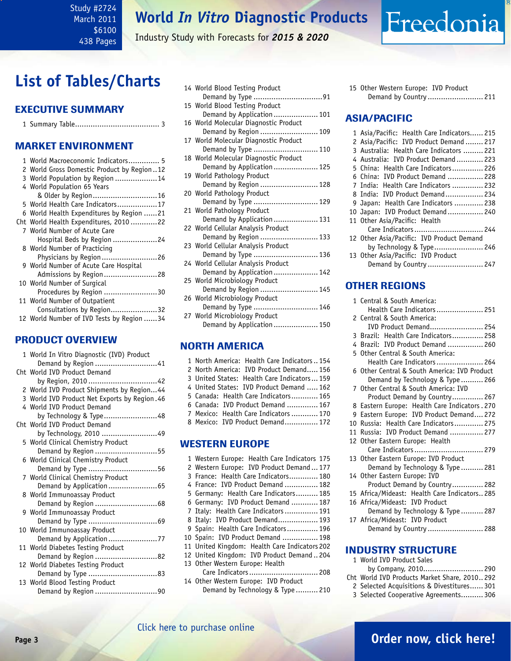Industry Study with Forecasts for *2015 & 2020*

# <span id="page-2-0"></span>**List of Tables/Charts**

### Executive Summary

|--|--|--|--|

### Market EnvironmenT

| 1 World Macroeconomic Indicators 5         |
|--------------------------------------------|
| 2 World Gross Domestic Product by Region12 |
| 3 World Population by Region 14            |
| 4 World Population 65 Years                |
|                                            |
| 5 World Health Care Indicators17           |
| 6 World Health Expenditures by Region 21   |
| Cht World Health Expenditures, 2010 22     |
| 7 World Number of Acute Care               |
| Hospital Beds by Region 24                 |
| 8 World Number of Practicing               |
| Physicians by Region 26                    |
| 9 World Number of Acute Care Hospital      |
| Admissions by Region28                     |
| 10 World Number of Surgical                |
| Procedures by Region 30                    |
| 11 World Number of Outpatient              |
| Consultations by Region32                  |
| 12 World Number of IVD Tests by Region 34  |
|                                            |

### PRODUCT OVERVIEW

| 1 World In Vitro Diagnostic (IVD) Product    |
|----------------------------------------------|
| Demand by Region 41                          |
| Cht World IVD Product Demand                 |
| by Region, 2010 42                           |
| 2 World IVD Product Shipments by Region44    |
| 3 World IVD Product Net Exports by Region.46 |
| 4 World IVD Product Demand                   |
| by Technology & Type48                       |
| Cht World IVD Product Demand                 |
| by Technology, 2010 49                       |
| 5 World Clinical Chemistry Product           |
| Demand by Region 55                          |
| 6 World Clinical Chemistry Product           |
| Demand by Type 56                            |
| 7 World Clinical Chemistry Product           |
| Demand by Application 65                     |
| 8 World Immunoassay Product                  |
|                                              |
| 9 World Immunoassay Product                  |
|                                              |
| 10 World Immunoassay Product                 |
| Demand by Application 77                     |
| 11 World Diabetes Testing Product            |
| Demand by Region 82                          |
| 12 World Diabetes Testing Product            |
| Demand by Type 83                            |
| 13 World Blood Testing Product               |
| Demand by Region 90                          |
|                                              |

| 14 World Blood Testing Product        |
|---------------------------------------|
| Demand by Type 91                     |
| 15 World Blood Testing Product        |
| Demand by Application  101            |
| 16 World Molecular Diagnostic Product |
| Demand by Region  109                 |
| 17 World Molecular Diagnostic Product |
| Demand by Type  110                   |
| 18 World Molecular Diagnostic Product |
| Demand by Application  125            |
| 19 World Pathology Product            |
| Demand by Region  128                 |
| 20 World Pathology Product            |
| Demand by Type  129                   |
| 21 World Pathology Product            |
| Demand by Application  131            |
| 22 World Cellular Analysis Product    |
| Demand by Region  133                 |
| 23 World Cellular Analysis Product    |
| Demand by Type  136                   |
| 24 World Cellular Analysis Product    |
| Demand by Application  142            |
| 25 World Microbiology Product         |
| Demand by Region  145                 |
| 26 World Microbiology Product         |
| Demand by Type  146                   |
| 27 World Microbiology Product         |
| Demand by Application  150            |
|                                       |
|                                       |

### NORTH AMERICA

|  | 1 North America: Health Care Indicators154 |  |
|--|--------------------------------------------|--|
|  | 2 North America: IVD Product Demand 156    |  |
|  | 3 United States: Health Care Indicators159 |  |
|  | 4 United States: IVD Product Demand  162   |  |
|  | 5 Canada: Health Care Indicators 165       |  |
|  | 6 Canada: IVD Product Demand  167          |  |
|  | 7 Mexico: Health Care Indicators  170      |  |
|  | 8 Mexico: IVD Product Demand 172           |  |
|  |                                            |  |
|  |                                            |  |

### WESTERN EUROPE

| 1 Western Europe: Health Care Indicators 175  |
|-----------------------------------------------|
| 2 Western Europe: IVD Product Demand  177     |
| 3 France: Health Care Indicators 180          |
| 4 France: IVD Product Demand  182             |
| 5 Germany: Health Care Indicators 185         |
| 6 Germany: IVD Product Demand  187            |
| 7 Italy: Health Care Indicators  191          |
| 8 Italy: IVD Product Demand 193               |
| 9 Spain: Health Care Indicators 196           |
| 10 Spain: IVD Product Demand  198             |
| 11 United Kingdom: Health Care Indicators 202 |
| 12 United Kingdom: IVD Product Demand204      |
| 13 Other Western Europe: Health               |
| Care Indicators 208                           |
| 14 Other Western Europe: IVD Product          |

Demand by Technology & Type .......... 210

Freedonia

#### ASIA/PACIFIC

| 1 Asia/Pacific: Health Care Indicators 215 |  |
|--------------------------------------------|--|
| 2 Asia/Pacific: IVD Product Demand  217    |  |
| 3 Australia: Health Care Indicators  221   |  |
| 4 Australia: IVD Product Demand 223        |  |
| 5 China: Health Care Indicators 226        |  |
| 6 China: IVD Product Demand  228           |  |
| 7 India: Health Care Indicators  232       |  |
| 8 India: IVD Product Demand 234            |  |
| 9 Japan: Health Care Indicators  238       |  |
| 10 Japan: IVD Product Demand 240           |  |
| 11 Other Asia/Pacific: Health              |  |
| Care Indicators 244                        |  |
| 12 Other Asia/Pacific: IVD Product Demand  |  |
| by Technology & Type 246                   |  |
| 13 Other Asia/Pacific: IVD Product         |  |
| Demand by Country  247                     |  |

### OTHER REGIONS

| 1 Central & South America:                    |
|-----------------------------------------------|
| Health Care Indicators  251                   |
| 2 Central & South America:                    |
| IVD Product Demand 254                        |
| 3 Brazil: Health Care Indicators 258          |
| 4 Brazil: IVD Product Demand  260             |
| 5 Other Central & South America:              |
| Health Care Indicators  264                   |
| 6 Other Central & South America: IVD Product  |
| Demand by Technology & Type  266              |
| 7 Other Central & South America: IVD          |
| Product Demand by Country 267                 |
| 8 Eastern Europe: Health Care Indicators. 270 |
| 9 Eastern Europe: IVD Product Demand 272      |
| 10 Russia: Health Care Indicators 275         |
| 11 Russia: IVD Product Demand  277            |
| 12 Other Eastern Europe: Health               |
| Care Indicators  279                          |
| 13 Other Eastern Europe: IVD Product          |
| Demand by Technology & Type 281               |
| 14 Other Eastern Europe: IVD                  |
| Product Demand by Country 282                 |
| 15 Africa/Mideast: Health Care Indicators 285 |
| 16 Africa/Mideast: IVD Product                |
| Demand by Technology & Type  287              |
| 17 Africa/Mideast: IVD Product                |
| Demand by Country  288                        |
|                                               |

#### INDUSTRY STRUCTURE

| 1 World IVD Product Sales                    |  |
|----------------------------------------------|--|
|                                              |  |
| Cht World IVD Products Market Share, 2010292 |  |
| 2 Selected Acquisitions & Divestitures 301   |  |

3 Selected Cooperative Agreements.......... 306

# **Page 3 [Order now, click here!](#page-6-0)**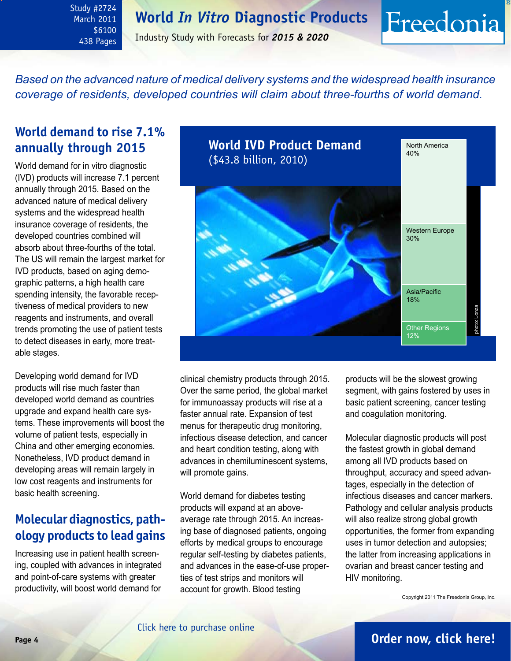<span id="page-3-0"></span>Study #2724 March 2011 \$6100 438 Pages

Industry Study with Forecasts for *2015 & 2020*

*Based on the advanced nature of medical delivery systems and the widespread health insurance coverage of residents, developed countries will claim about three-fourths of world demand.*

# **World demand to rise 7.1% annually through 2015**

World demand for in vitro diagnostic (IVD) products will increase 7.1 percent annually through 2015. Based on the advanced nature of medical delivery systems and the widespread health insurance coverage of residents, the developed countries combined will absorb about three-fourths of the total. The US will remain the largest market for IVD products, based on aging demographic patterns, a high health care spending intensity, the favorable receptiveness of medical providers to new reagents and instruments, and overall trends promoting the use of patient tests to detect diseases in early, more treatable stages.

Developing world demand for IVD products will rise much faster than developed world demand as countries upgrade and expand health care systems. These improvements will boost the volume of patient tests, especially in China and other emerging economies. Nonetheless, IVD product demand in developing areas will remain largely in low cost reagents and instruments for basic health screening.

# **Molecular diagnostics, pathology products to lead gains**

Increasing use in patient health screening, coupled with advances in integrated and point-of-care systems with greater productivity, will boost world demand for



clinical chemistry products through 2015. Over the same period, the global market for immunoassay products will rise at a faster annual rate. Expansion of test menus for therapeutic drug monitoring, infectious disease detection, and cancer and heart condition testing, along with advances in chemiluminescent systems, will promote gains.

World demand for diabetes testing products will expand at an aboveaverage rate through 2015. An increasing base of diagnosed patients, ongoing efforts by medical groups to encourage regular self-testing by diabetes patients, and advances in the ease-of-use properties of test strips and monitors will account for growth. Blood testing

products will be the slowest growing segment, with gains fostered by uses in basic patient screening, cancer testing and coagulation monitoring.

Freedonia

Molecular diagnostic products will post the fastest growth in global demand among all IVD products based on throughput, accuracy and speed advantages, especially in the detection of infectious diseases and cancer markers. Pathology and cellular analysis products will also realize strong global growth opportunities, the former from expanding uses in tumor detection and autopsies; the latter from increasing applications in ovarian and breast cancer testing and HIV monitoring.

Copyright 2011 The Freedonia Group, Inc.

# **Page 4 [Order now, click here!](#page-6-0)**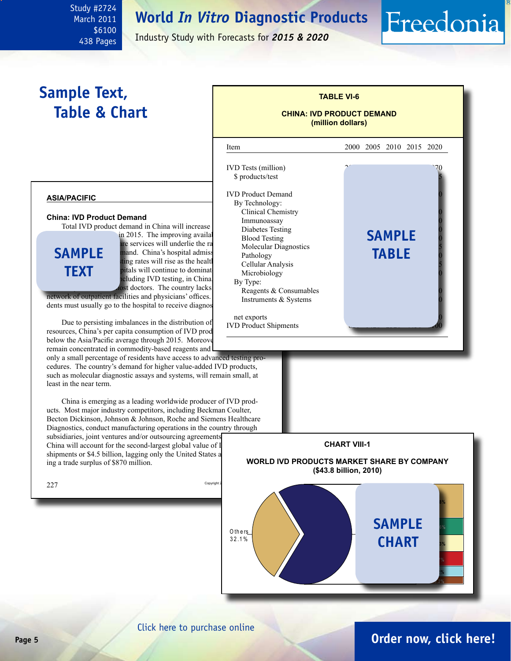March 2011 \$6100 438 Pages

<span id="page-4-0"></span>Study #2724

Industry Study with Forecasts for *2015 & 2020*

# **Sample Text, Table & Chart**

# **TABLE VI-6 CHINA: IVD PRODUCT DEMAND**

**(million dollars)**

Freedonia

### **asia/pacific**

#### **China: IVD Product Demand**

Total IVD product demand in China will increase

**sample text**

in 2015. The improving availal Blood Testing and are services will underlie the ra value of Ivolceular and. China's hospital admission, outpatients of  $\frac{1}{2}$ ting rates will rise as the health itals will continue to dominat cluding IVD testing, in China. st doctors. The country lacks

network of outpatient facilities and physicians' offices. dents must usually go to the hospital to receive diagnos

Due to persisting imbalances in the distribution of resources, China's per capita consumption of IVD prod below the Asia/Pacific average through 2015. Moreover, remain concentrated in commodity-based reagents and

only a small percentage of residents have access to advanced testing procedures. The country's demand for higher value-added IVD products, such as molecular diagnostic assays and systems, will remain small, at least in the near term.

China is emerging as a leading worldwide producer of IVD products. Most major industry competitors, including Beckman Coulter, Becton Dickinson, Johnson & Johnson, Roche and Siemens Healthcare Diagnostics, conduct manufacturing operations in the country through subsidiaries, joint ventures and/or outsourcing agreements.

China will account for the second-largest global value of I shipments or \$4.5 billion, lagging only the United States a ing a trade surplus of \$870 million.





#### [Click here to purchase online](http://www.freedoniagroup.com/DocumentDetails.aspx?Referrerid=FM-Bro&StudyID=2724)

# **Page 5 [Order now, click here!](#page-6-0)**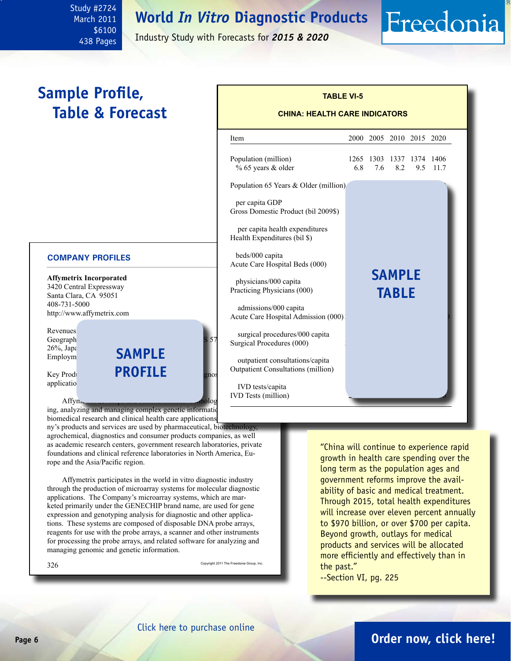<span id="page-5-0"></span>Study #2724 March 2011 \$6100 438 Pages

Industry Study with Forecasts for *2015 & 2020*

# **Sample Profile, Table & Forecast**

#### **COMPANY PROFILES**

**Affymetrix Incorporated** 3420 Central Expressway Santa Clara, CA 95051 408-731-5000 http://www.affymetrix.com

Revenues<sup>1</sup> Geograph<br>26%, Japa  $26\%$ , Japan  $\epsilon$  and  $\epsilon$ <sup>26%, Japa</sup> **SAMPI** 

Key Products: **PROFILE** and spines application

ing, analyzing and managing complex genetic information biomedical research and clinical health care applications.

ny's products and services are used by pharmaceutical, biotechnology, agrochemical, diagnostics and consumer products companies, as well as academic research centers, government research laboratories, private foundations and clinical reference laboratories in North America, Europe and the Asia/Pacific region.

Affymetrix participates in the world in vitro diagnostic industry through the production of microarray systems for molecular diagnostic applications. The Company's microarray systems, which are marketed primarily under the GENECHIP brand name, are used for gene expression and genotyping analysis for diagnostic and other applications. These systems are composed of disposable DNA probe arrays, reagents for use with the probe arrays, a scanner and other instruments for processing the probe arrays, and related software for analyzing and managing genomic and genetic information.

| 326 | Copyright 2011 The Freedonia Group, Inc. |
|-----|------------------------------------------|
|     |                                          |

| "China will continue to experience rapid    |
|---------------------------------------------|
| growth in health care spending over the     |
| long term as the population ages and        |
| qovernment reforms improve the avail-       |
| ability of basic and medical treatment.     |
| Through 2015, total health expenditures     |
| will increase over eleven percent annually  |
| to \$970 billion, or over \$700 per capita. |
| Beyond growth, outlays for medical          |
| products and services will be allocated     |
| more efficiently and effectively than in    |
| the past."                                  |
|                                             |

--Section VI, pg. 225

### **CHINA: HEALTH CARE INDICATORS**

Freedonia

**TABLE VI-5**



# **Page 6 [Order now, click here!](#page-6-0)**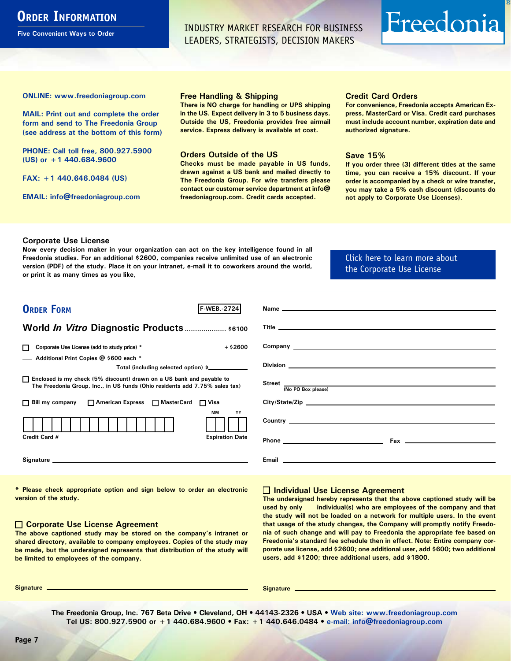# <span id="page-6-0"></span>**ORDER INFORMATION**

**Five Convenient Ways to Order**

INDUSTRY MARKET RESEARCH FOR BUSINESS LEADERS, STRATEGISTS, DECISION MAKERS

# Freedonia

**ONLINE: [www.freedoniagroup.com](http://www.freedoniagroup.com/DocumentDetails.aspx?Referrerid=FM-Bro&StudyID=2724)**

**MAIL: Print out and complete the order form and send to The Freedonia Group (see address at the bottom of this form)**

**PHONE: Call toll free, 800.927.5900 (US) or +1 440.684.9600**

**FAX: +1 440.646.0484 (US)**

**EMAIL: [info@freedoniagroup.com](mailto:info@freedoniagroup.com)**

#### **Free Handling & Shipping**

**There is NO charge for handling or UPS shipping in the US. Expect delivery in 3 to 5 business days. Outside the US, Freedonia provides free airmail service. Express delivery is available at cost.**

#### **Orders Outside of the US**

**Checks must be made payable in US funds, drawn against a US bank and mailed directly to The Freedonia Group. For wire transfers please contact our customer service department at info@ freedoniagroup.com. Credit cards accepted.**

#### **Credit Card Orders**

**For convenience, Freedonia accepts American Express, MasterCard or Visa. Credit card purchases must include account number, expiration date and authorized signature.**

#### **Save 15%**

**If you order three (3) different titles at the same time, you can receive a 15% discount. If your order is accompanied by a check or wire transfer, you may take a 5% cash discount (discounts do not apply to Corporate Use Licenses).**

#### **Corporate Use License**

**Now every decision maker in your organization can act on the key intelligence found in all Freedonia studies. For an additional \$2600, companies receive unlimited use of an electronic version (PDF) of the study. Place it on your intranet, e-mail it to coworkers around the world, or print it as many times as you like,** 

### [Click here to learn more about](http://www.freedoniagroup.com/pdf/FreedoniaCULBro.pdf)  [the Corporate Use License](http://www.freedoniagroup.com/pdf/FreedoniaCULBro.pdf)

| <b>ORDER FORM</b><br><b>F-WEB.-2724</b>                                                                                                               | Name experience and the second contract of the second contract of the second contract of the second contract of the second contract of the second contract of the second contract of the second contract of the second contrac      |
|-------------------------------------------------------------------------------------------------------------------------------------------------------|-------------------------------------------------------------------------------------------------------------------------------------------------------------------------------------------------------------------------------------|
|                                                                                                                                                       |                                                                                                                                                                                                                                     |
| World <i>In Vitro</i> Diagnostic Products \$6100                                                                                                      |                                                                                                                                                                                                                                     |
|                                                                                                                                                       |                                                                                                                                                                                                                                     |
| $+$ \$2600<br>Corporate Use License (add to study price) *<br>$\Box$                                                                                  |                                                                                                                                                                                                                                     |
| Additional Print Copies @ \$600 each *                                                                                                                |                                                                                                                                                                                                                                     |
| Total (including selected option) \$                                                                                                                  |                                                                                                                                                                                                                                     |
| □ Enclosed is my check (5% discount) drawn on a US bank and payable to<br>The Freedonia Group, Inc., in US funds (Ohio residents add 7.75% sales tax) | (No PO Box please)                                                                                                                                                                                                                  |
| □ Bill my company □ American Express □ MasterCard □ Visa                                                                                              |                                                                                                                                                                                                                                     |
| MМ<br>YY                                                                                                                                              | Country <u>example</u> and the country of the country of the country of the country of the country of the country of the country of the country of the country of the country of the country of the country of the country of the c |
| Credit Card #<br><b>Expiration Date</b>                                                                                                               |                                                                                                                                                                                                                                     |
|                                                                                                                                                       | Email<br><u> 1980 - Jan Samuel Barbara, margaret eta idazlea (h. 1980).</u>                                                                                                                                                         |

**\* Please check appropriate option and sign below to order an electronic version of the study.**

#### **Corporate Use License Agreement**

**The above captioned study may be stored on the company's intranet or shared directory, available to company employees. Copies of the study may be made, but the undersigned represents that distribution of the study will be limited to employees of the company.**

#### **Individual Use License Agreement**

**The undersigned hereby represents that the above captioned study will be used by only \_\_\_ individual(s) who are employees of the company and that the study will not be loaded on a network for multiple users. In the event that usage of the study changes, the Company will promptly notify Freedonia of such change and will pay to Freedonia the appropriate fee based on Freedonia's standard fee schedule then in effect. Note: Entire company corporate use license, add \$2600; one additional user, add \$600; two additional users, add \$1200; three additional users, add \$1800.**

**Signature Signature**

**The Freedonia Group, Inc. 767 Beta Drive • Cleveland, OH • 44143-2326 • USA • [Web site: www.freedoniagroup.com](http://www.freedoniagroup.com/Home.aspx?ReferrerId=FM-Bro) Tel US: 800.927.5900 or +1 440.684.9600 • Fax: +1 440.646.0484 • [e-mail: info@freedoniagroup.com](mailto:info@freedoniagroup.com)**